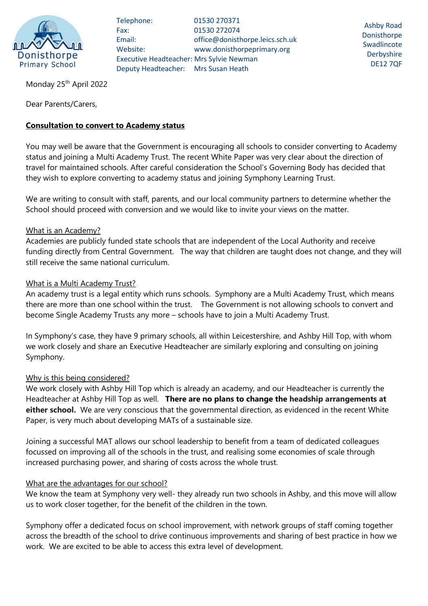

Telephone: 01530 270371 Fax: 01530 272074 Email: office@donisthorpe.leics.sch.uk Website: www.donisthorpeprimary.org Executive Headteacher: Mrs Sylvie Newman Deputy Headteacher: Mrs Susan Heath

Ashby Road Donisthorpe Swadlincote **Derbyshire** DE12 7QF

Monday 25<sup>th</sup> April 2022

Dear Parents/Carers,

# **Consultation to convert to Academy status**

You may well be aware that the Government is encouraging all schools to consider converting to Academy status and joining a Multi Academy Trust. The recent White Paper was very clear about the direction of travel for maintained schools. After careful consideration the School's Governing Body has decided that they wish to explore converting to academy status and joining Symphony Learning Trust.

We are writing to consult with staff, parents, and our local community partners to determine whether the School should proceed with conversion and we would like to invite your views on the matter.

### What is an Academy?

Academies are publicly funded state schools that are independent of the Local Authority and receive funding directly from Central Government. The way that children are taught does not change, and they will still receive the same national curriculum.

## What is a Multi Academy Trust?

An academy trust is a legal entity which runs schools. Symphony are a Multi Academy Trust, which means there are more than one school within the trust. The Government is not allowing schools to convert and become Single Academy Trusts any more – schools have to join a Multi Academy Trust.

In Symphony's case, they have 9 primary schools, all within Leicestershire, and Ashby Hill Top, with whom we work closely and share an Executive Headteacher are similarly exploring and consulting on joining Symphony.

### Why is this being considered?

We work closely with Ashby Hill Top which is already an academy, and our Headteacher is currently the Headteacher at Ashby Hill Top as well. **There are no plans to change the headship arrangements at either school.** We are very conscious that the governmental direction, as evidenced in the recent White Paper, is very much about developing MATs of a sustainable size.

Joining a successful MAT allows our school leadership to benefit from a team of dedicated colleagues focussed on improving all of the schools in the trust, and realising some economies of scale through increased purchasing power, and sharing of costs across the whole trust.

### What are the advantages for our school?

We know the team at Symphony very well- they already run two schools in Ashby, and this move will allow us to work closer together, for the benefit of the children in the town.

Symphony offer a dedicated focus on school improvement, with network groups of staff coming together across the breadth of the school to drive continuous improvements and sharing of best practice in how we work. We are excited to be able to access this extra level of development.